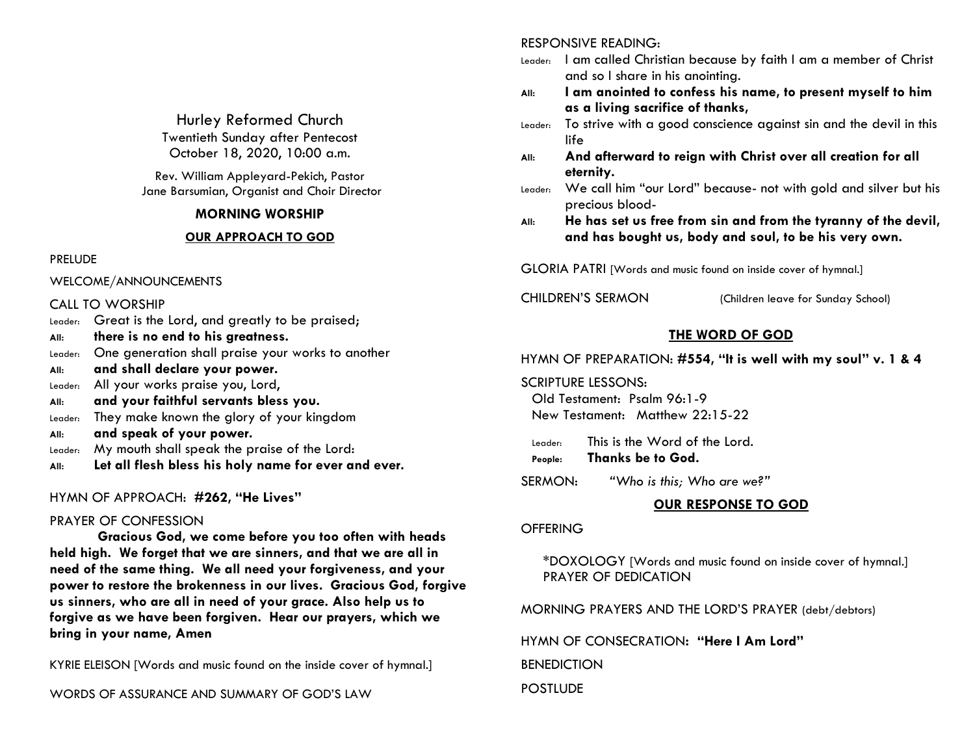Hurley Reformed Church Twentieth Sunday after Pentecost October 18, 2020, 10:00 a.m.

Rev. William Appleyard-Pekich, Pastor Jane Barsumian, Organist and Choir Director

### **MORNING WORSHIP**

### **OUR APPROACH TO GOD**

### PRELUDE

WELCOME/ANNOUNCEMENTS

### CALL TO WORSHIP

- Leader: Great is the Lord, and greatly to be praised;
- **All: there is no end to his greatness.**
- Leader: One generation shall praise your works to another
- **All: and shall declare your power.**
- Leader: All your works praise you, Lord,
- **All: and your faithful servants bless you.**
- Leader: They make known the glory of your kingdom
- **All: and speak of your power.**
- Leader: My mouth shall speak the praise of the Lord:
- **All: Let all flesh bless his holy name for ever and ever.**

HYMN OF APPROACH: **#262, "He Lives"**

### PRAYER OF CONFESSION

**Gracious God, we come before you too often with heads held high. We forget that we are sinners, and that we are all in need of the same thing. We all need your forgiveness, and your power to restore the brokenness in our lives. Gracious God, forgive us sinners, who are all in need of your grace. Also help us to forgive as we have been forgiven. Hear our prayers, which we bring in your name, Amen**

KYRIE ELEISON [Words and music found on the inside cover of hymnal.]

WORDS OF ASSURANCE AND SUMMARY OF GOD'S LAW

RESPONSIVE READING:

- Leader: I am called Christian because by faith I am a member of Christ and so I share in his anointing.
- **All: I am anointed to confess his name, to present myself to him as a living sacrifice of thanks,**
- Leader: To strive with a good conscience against sin and the devil in this life
- **All: And afterward to reign with Christ over all creation for all eternity.**
- Leader: We call him "our Lord" because- not with gold and silver but his precious blood-
- **All: He has set us free from sin and from the tyranny of the devil, and has bought us, body and soul, to be his very own.**

GLORIA PATRI [Words and music found on inside cover of hymnal.]

CHILDREN'S SERMON (Children leave for Sunday School)

## **THE WORD OF GOD**

## HYMN OF PREPARATION: **#554, "It is well with my soul" v. 1 & 4**

### SCRIPTURE LESSONS:

Old Testament: Psalm 96:1-9 New Testament: Matthew 22:15-22

Leader: This is the Word of the Lord. **People: Thanks be to God.**

SERMON: *"Who is this; Who are we?"*

## **OUR RESPONSE TO GOD**

### **OFFERING**

\*DOXOLOGY [Words and music found on inside cover of hymnal.] PRAYER OF DEDICATION

MORNING PRAYERS AND THE LORD'S PRAYER (debt/debtors)

HYMN OF CONSECRATION**: "Here I Am Lord"**

**BENEDICTION** 

POSTLUDE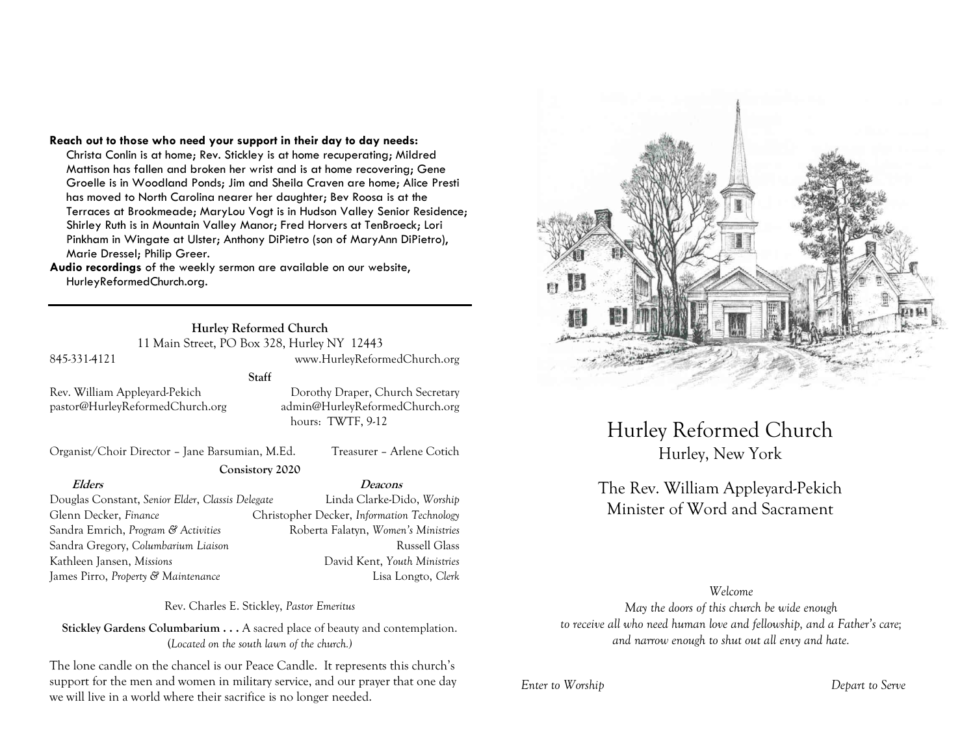**Reach out to those who need your support in their day to day needs:** 

Christa Conlin is at home; Rev. Stickley is at home recuperating; Mildred Mattison has fallen and broken her wrist and is at home recovering; Gene Groelle is in Woodland Ponds; Jim and Sheila Craven are home; Alice Presti has moved to North Carolina nearer her daughter; Bev Roosa is at the Terraces at Brookmeade; MaryLou Vogt is in Hudson Valley Senior Residence; Shirley Ruth is in Mountain Valley Manor; Fred Horvers at TenBroeck; Lori Pinkham in Wingate at Ulster; Anthony DiPietro (son of MaryAnn DiPietro), Marie Dressel; Philip Greer.

**Audio recordings** of the weekly sermon are available on our website, HurleyReformedChurch.org.

### **Hurley Reformed Church** 11 Main Street, PO Box 328, Hurley NY 12443

845-331-4121 www.HurleyReformedChurch.org

### **Staff**

pastor@HurleyReformedChurch.org admin@HurleyReformedChurch.org

Rev. William Appleyard-Pekich Dorothy Draper, Church Secretary hours: TWTF, 9-12

Organist/Choir Director – Jane Barsumian, M.Ed. Treasurer – Arlene Cotich

**Consistory 2020**

Douglas Constant, *Senior Elder*, *Classis Delegate* Linda Clarke-Dido, *Worship* Glenn Decker, *Finance* Christopher Decker, *Information Technology* Sandra Emrich, *Program & Activities* Roberta Falatyn, *Women's Ministries* Sandra Gregory, *Columbarium Liaison* **Russell Glass** Russell Glass Kathleen Jansen, *Missions* David Kent, *Youth Ministries* James Pirro, *Property & Maintenance* Lisa Longto, *Clerk*

### **Elders Deacons**

Rev. Charles E. Stickley, *Pastor Emeritus*

**Stickley Gardens Columbarium . . .** A sacred place of beauty and contemplation. (*Located on the south lawn of the church.)* 

The lone candle on the chancel is our Peace Candle. It represents this church's support for the men and women in military service, and our prayer that one day we will live in a world where their sacrifice is no longer needed.



Hurley Reformed Church Hurley, New York

# The Rev. William Appleyard-Pekich Minister of Word and Sacrament

### *Welcome*

*May the doors of this church be wide enough to receive all who need human love and fellowship, and a Father's care; and narrow enough to shut out all envy and hate.*

*Enter to Worship Depart to Serve*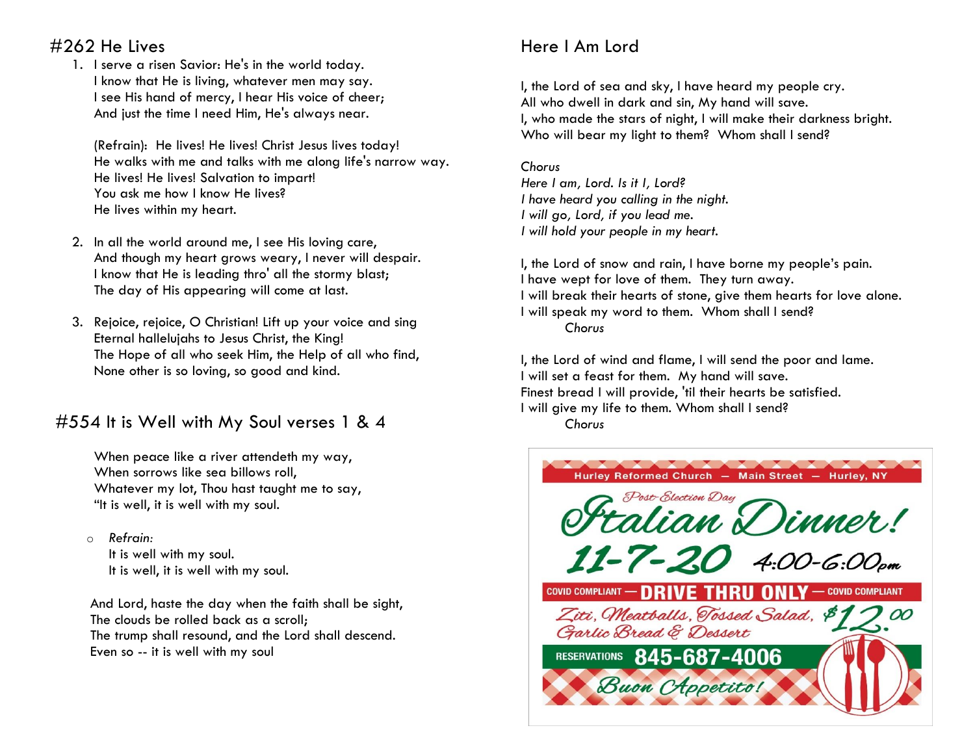# #262 He Lives

1. I serve a risen Savior: He's in the world today. I know that He is living, whatever men may say. I see His hand of mercy, I hear His voice of cheer; And just the time I need Him, He's always near.

(Refrain): He lives! He lives! Christ Jesus lives today! He walks with me and talks with me along life's narrow way. He lives! He lives! Salvation to impart! You ask me how I know He lives? He lives within my heart.

- 2. In all the world around me, I see His loving care, And though my heart grows weary, I never will despair. I know that He is leading thro' all the stormy blast; The day of His appearing will come at last.
- 3. Rejoice, rejoice, O Christian! Lift up your voice and sing Eternal hallelujahs to Jesus Christ, the King! The Hope of all who seek Him, the Help of all who find, None other is so loving, so good and kind.

# #554 It is Well with My Soul verses 1 & 4

When peace like a river attendeth my way, When sorrows like sea billows roll, Whatever my lot, Thou hast taught me to say, "It is well, it is well with my soul.

o *Refrain:* It is well with my soul. It is well, it is well with my soul.

And Lord, haste the day when the faith shall be sight, The clouds be rolled back as a scroll; The trump shall resound, and the Lord shall descend. Even so -- it is well with my soul

# Here I Am Lord

I, the Lord of sea and sky, I have heard my people cry. All who dwell in dark and sin, My hand will save. I, who made the stars of night, I will make their darkness bright. Who will bear my light to them? Whom shall I send?

## *Chorus*

*Here I am, Lord. Is it I, Lord? I have heard you calling in the night. I will go, Lord, if you lead me. I will hold your people in my heart.* 

I, the Lord of snow and rain, I have borne my people's pain. I have wept for love of them. They turn away. I will break their hearts of stone, give them hearts for love alone. I will speak my word to them. Whom shall I send? *Chorus*

I, the Lord of wind and flame, I will send the poor and lame. I will set a feast for them. My hand will save. Finest bread I will provide, 'til their hearts be satisfied. I will give my life to them. Whom shall I send? *Chorus*